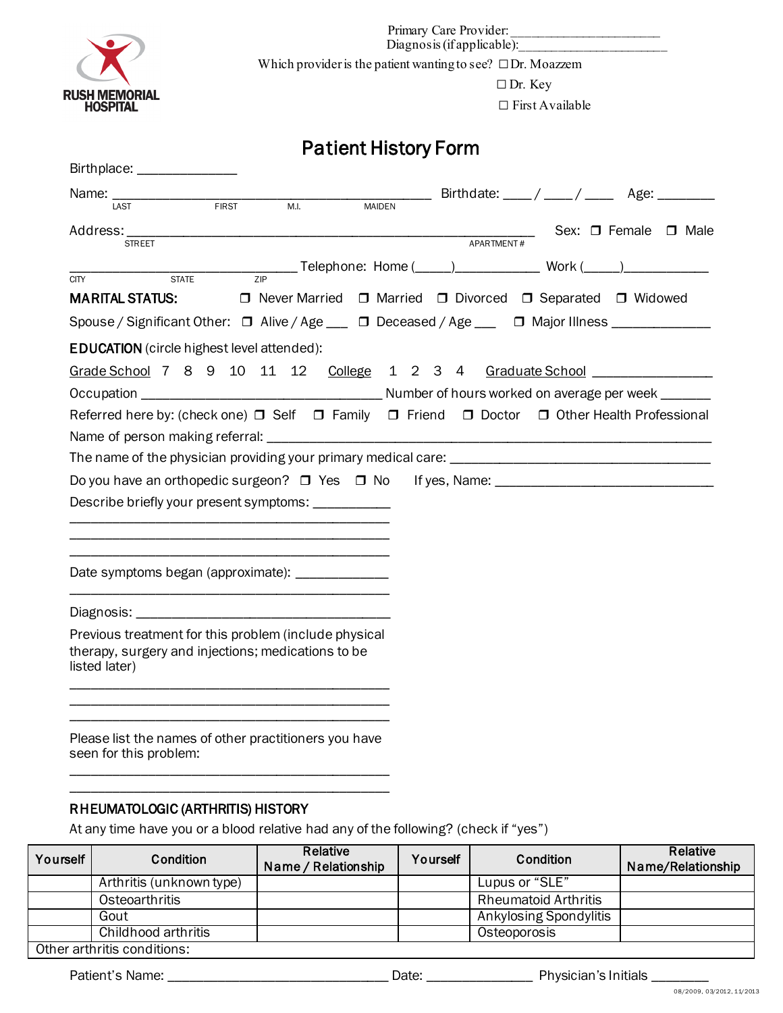

Primary Care Provider: Diagnosis (if applicable):

Which provider is the patient wanting to see?  $\square$ Dr. Moazzem

□ Dr. Key

□ First Available

# Patient History Form

| Birthplace: _____________                                                                                                    |                                                            |
|------------------------------------------------------------------------------------------------------------------------------|------------------------------------------------------------|
| Name:<br>FIRST<br>M.I.<br><b>MAIDEN</b><br>LAST                                                                              | __ Birthdate: ____/ ____/ _____ Age: ________              |
| Address:<br><b>STREET</b>                                                                                                    | Sex: □ Female □ Male<br>APARTMENT#                         |
| $\overline{ZIP}$                                                                                                             |                                                            |
| <b>STATE</b><br><b>CITY</b><br><b>MARITAL STATUS:</b>                                                                        | □ Never Married □ Married □ Divorced □ Separated □ Widowed |
| Spouse / Significant Other: □ Alive / Age ___ □ Deceased / Age ___ □ Major Illness ____________                              |                                                            |
| <b>EDUCATION</b> (circle highest level attended):                                                                            |                                                            |
| Grade School 7 8 9 10 11 12 College 1 2 3 4 Graduate School                                                                  |                                                            |
|                                                                                                                              |                                                            |
| Referred here by: (check one) □ Self □ Family □ Friend □ Doctor □ Other Health Professional                                  |                                                            |
|                                                                                                                              |                                                            |
|                                                                                                                              |                                                            |
| Do you have an orthopedic surgeon? $\Box$ Yes $\Box$ No                                                                      |                                                            |
| Describe briefly your present symptoms: ___________                                                                          |                                                            |
|                                                                                                                              |                                                            |
|                                                                                                                              |                                                            |
| Date symptoms began (approximate): ______________                                                                            |                                                            |
|                                                                                                                              |                                                            |
| Previous treatment for this problem (include physical<br>therapy, surgery and injections; medications to be<br>listed later) |                                                            |
|                                                                                                                              |                                                            |
| Please list the names of other practitioners you have<br>seen for this problem:                                              |                                                            |

# RHEUMATOLOGIC (ARTHRITIS) HISTORY

\_\_\_\_\_\_\_\_\_\_\_\_\_\_\_\_\_\_\_\_\_\_\_\_\_\_\_\_\_\_\_\_\_\_\_\_\_\_\_\_\_\_\_\_\_

At any time have you or a blood relative had any of the following? (check if "yes")

| Yourself | Condition                   | Relative<br>Name / Relationship | Yourself | Condition                   | Relative<br>Name/Relationship |
|----------|-----------------------------|---------------------------------|----------|-----------------------------|-------------------------------|
|          | Arthritis (unknown type)    |                                 |          | Lupus or "SLE"              |                               |
|          | Osteoarthritis              |                                 |          | <b>Rheumatoid Arthritis</b> |                               |
|          | Gout                        |                                 |          | Ankylosing Spondylitis      |                               |
|          | Childhood arthritis         |                                 |          | Osteoporosis                |                               |
|          | Other arthritis conditions: |                                 |          |                             |                               |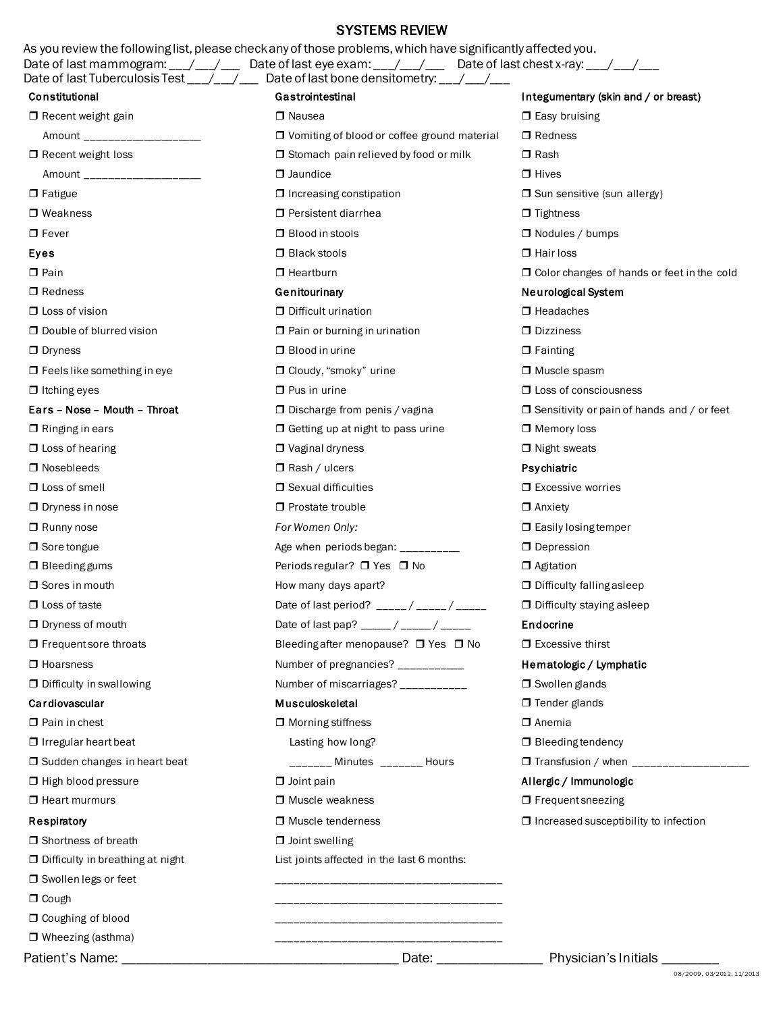# SYSTEMS REVIEW

|                                                          | J I JI LIVIJ NLVIL VV<br>As you review the following list, please check any of those problems, which have significantly affected you. |                                                   |
|----------------------------------------------------------|---------------------------------------------------------------------------------------------------------------------------------------|---------------------------------------------------|
|                                                          | Date of last mammogram: __/ __/ __ Date of last eye exam: __/ __/ __ Date of last chest x-ray: __/ __/ __                             |                                                   |
| Constitutional                                           | Date of last Tuberculosis Test ___/___/___ Date of last bone densitometry: ___/___/__<br>Gastrointestinal                             |                                                   |
|                                                          |                                                                                                                                       | Integumentary (skin and / or breast)              |
| $\Box$ Recent weight gain                                | □ Nausea                                                                                                                              | $\Box$ Easy bruising<br>$\Box$ Redness            |
| Amount ___________________                               | $\Box$ Vomiting of blood or coffee ground material                                                                                    | $\Box$ Rash                                       |
| $\Box$ Recent weight loss<br>Amount ____________________ | □ Stomach pain relieved by food or milk<br>$\Box$ Jaundice                                                                            | $\Box$ Hives                                      |
|                                                          |                                                                                                                                       | □ Sun sensitive (sun allergy)                     |
| $\Box$ Fatigue<br>$\Box$ Weakness                        | $\Box$ Increasing constipation<br>$\Box$ Persistent diarrhea                                                                          | $\Box$ Tightness                                  |
| $\Box$ Fever                                             | $\Box$ Blood in stools                                                                                                                | $\Box$ Nodules / bumps                            |
| Eyes                                                     | $\Box$ Black stools                                                                                                                   | $\Box$ Hair loss                                  |
| $\Box$ Pain                                              | $\Box$ Heartburn                                                                                                                      | $\Box$ Color changes of hands or feet in the cold |
| $\Box$ Redness                                           | Genitourinary                                                                                                                         | Neurological System                               |
| $\Box$ Loss of vision                                    | D Difficult urination                                                                                                                 | $\Box$ Headaches                                  |
| $\Box$ Double of blurred vision                          | $\Box$ Pain or burning in urination                                                                                                   | $\Box$ Dizziness                                  |
| $\Box$ Dryness                                           | $\Box$ Blood in urine                                                                                                                 | $\Box$ Fainting                                   |
| $\Box$ Feels like something in eye                       | □ Cloudy, "smoky" urine                                                                                                               | □ Muscle spasm                                    |
| $\Box$ Itching eyes                                      | $\Box$ Pus in urine                                                                                                                   | □ Loss of consciousness                           |
| Ears - Nose - Mouth - Throat                             | $\Box$ Discharge from penis / vagina                                                                                                  | $\Box$ Sensitivity or pain of hands and / or feet |
| $\Box$ Ringing in ears                                   | $\Box$ Getting up at night to pass urine                                                                                              | $\Box$ Memory loss                                |
| $\Box$ Loss of hearing                                   | $\Box$ Vaginal dryness                                                                                                                | $\Box$ Night sweats                               |
| $\Box$ Nosebleeds                                        | $\Box$ Rash / ulcers                                                                                                                  | Psychiatric                                       |
| $\Box$ Loss of smell                                     | $\Box$ Sexual difficulties                                                                                                            | $\Box$ Excessive worries                          |
| $\Box$ Dryness in nose                                   | □ Prostate trouble                                                                                                                    | $\Box$ Anxiety                                    |
| $\Box$ Runny nose                                        | For Women Only:                                                                                                                       | $\Box$ Easily losing temper                       |
| $\Box$ Sore tongue                                       | Age when periods began: _________                                                                                                     | $\Box$ Depression                                 |
| $\Box$ Bleeding gums                                     | Periods regular? □ Yes □ No                                                                                                           | $\Box$ Agitation                                  |
| Sores in mouth                                           | How many days apart?                                                                                                                  | <b>D</b> Difficulty falling asleep                |
| $\Box$ Loss of taste                                     | Date of last period? _____/ _____/ _____                                                                                              | <b>D</b> Difficulty staying asleep                |
| □ Dryness of mouth                                       | Date of last pap? _____/ _____/ _____                                                                                                 | Endocrine                                         |
| $\Box$ Frequent sore throats                             | Bleeding after menopause? □ Yes □ No                                                                                                  | $\Box$ Excessive thirst                           |
| $\Box$ Hoarsness                                         | Number of pregnancies? __________                                                                                                     | Hematologic / Lymphatic                           |
| $\Box$ Difficulty in swallowing                          | Number of miscarriages? __________                                                                                                    | $\Box$ Swollen glands                             |
| Cardiovascular                                           | Musculoskeletal                                                                                                                       | $\Box$ Tender glands                              |
| $\Box$ Pain in chest                                     | $\Box$ Morning stiffness                                                                                                              | $\Box$ Anemia                                     |
| $\Box$ Irregular heart beat                              | Lasting how long?                                                                                                                     | $\Box$ Bleeding tendency                          |
| □ Sudden changes in heart beat                           | _______ Minutes _______ Hours                                                                                                         |                                                   |
| □ High blood pressure                                    | $\Box$ Joint pain                                                                                                                     | Allergic / Immunologic                            |
| $\Box$ Heart murmurs                                     | □ Muscle weakness                                                                                                                     | $\Box$ Frequent sneezing                          |
| Respiratory                                              | □ Muscle tenderness                                                                                                                   | $\Box$ Increased susceptibility to infection      |
| □ Shortness of breath                                    | $\Box$ Joint swelling                                                                                                                 |                                                   |
| D Difficulty in breathing at night                       | List joints affected in the last 6 months:                                                                                            |                                                   |
| □ Swollen legs or feet                                   |                                                                                                                                       |                                                   |
| $\Box$ Cough                                             |                                                                                                                                       |                                                   |
| O Coughing of blood                                      |                                                                                                                                       |                                                   |
| $\Box$ Wheezing (asthma)                                 |                                                                                                                                       |                                                   |

Patient's Name: \_\_\_\_\_\_\_\_\_\_\_\_\_\_\_\_\_\_\_\_\_\_\_\_\_\_\_\_\_\_\_\_\_\_\_\_\_\_\_ Date: \_\_\_\_\_\_\_\_\_\_\_\_\_\_\_ Physician's Initials \_\_\_\_\_\_\_\_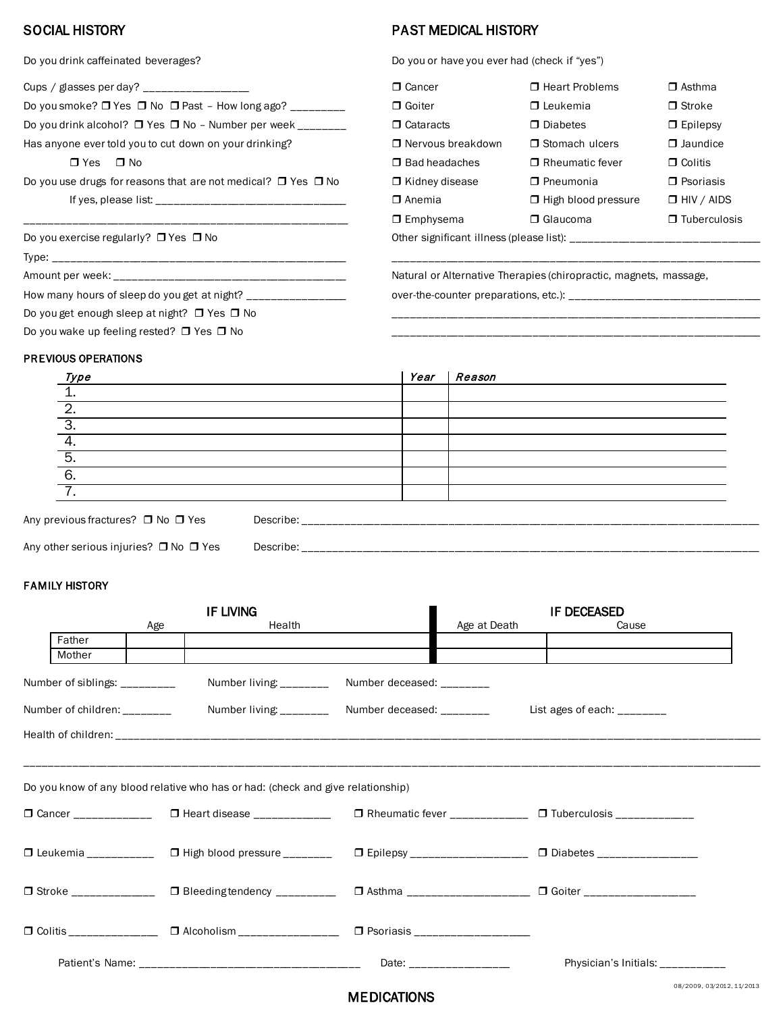| Cups / glasses per day? _____________________                           | $\Box$ Cancer         | □ Heart Problems           | $\Box$ Asthma    |
|-------------------------------------------------------------------------|-----------------------|----------------------------|------------------|
| Do you smoke? $\Box$ Yes $\Box$ No $\Box$ Past - How long ago? ________ | $\Box$ Goiter         | $\Box$ Leukemia            | $\Box$ Stroke    |
| Do you drink alcohol? $\Box$ Yes $\Box$ No - Number per week _______    | □ Cataracts           | $\Box$ Diabetes            | $\Box$ Epilepsy  |
| Has anyone ever told you to cut down on your drinking?                  | □ Nervous breakdown   | □ Stomach ulcers           | $\Box$ Jaundice  |
| $\Box$ Yes<br>$\Box$ No                                                 | $\Box$ Bad headaches  | □ Rheumatic fever          | $\Box$ Colitis   |
| Do you use drugs for reasons that are not medical? $\Box$ Yes $\Box$ No | $\Box$ Kidney disease | $\Box$ Pneumonia           | $\Box$ Psoriasis |
|                                                                         | $\Box$ Anemia         | $\Box$ High blood pressure | $\Box$ HIV / AID |
|                                                                         | $\Box$ Emphysema      | $\Box$ Glaucoma            | $\Box$ Tubercule |
| Do you exercise regularly? $\Box$ Yes $\Box$ No                         |                       |                            |                  |
|                                                                         |                       |                            |                  |

How many hours of sleep do you get at night? \_\_\_\_\_\_\_\_\_\_\_\_\_\_\_\_\_ over-the-counter preparations, etc.): \_\_\_\_\_\_\_\_\_\_\_\_\_\_\_\_\_\_\_\_\_\_\_\_\_\_\_\_\_\_\_\_\_

Do you get enough sleep at night? Yes No \_\_\_\_\_\_\_\_\_\_\_\_\_\_\_\_\_\_\_\_\_\_\_\_\_\_\_\_\_\_\_\_\_\_\_\_\_\_\_\_\_\_\_\_\_\_\_\_\_\_\_\_\_\_\_\_\_\_\_\_\_\_\_\_

Do you wake up feeling rested? Yes No \_\_\_\_\_\_\_\_\_\_\_\_\_\_\_\_\_\_\_\_\_\_\_\_\_\_\_\_\_\_\_\_\_\_\_\_\_\_\_\_\_\_\_\_\_\_\_\_\_\_\_\_\_\_\_\_\_\_\_\_\_\_\_\_

# SOCIAL HISTORY **PAST MEDICAL HISTORY**

Do you drink caffeinated beverages? Do you or have you ever had (check if "yes")

| Cups / glasses per day? ___________________                              | $\Box$ Cancer         | □ Heart Problems           | $\Box$ Asthma       |
|--------------------------------------------------------------------------|-----------------------|----------------------------|---------------------|
| Do you smoke? $\Box$ Yes $\Box$ No $\Box$ Past - How long ago? _________ | □ Goiter              | $\Box$ Leukemia            | $\Box$ Stroke       |
| Do you drink alcohol? □ Yes □ No - Number per week ________              | $\Box$ Cataracts      | $\Box$ Diabetes            | $\Box$ Epilepsy     |
| Has anyone ever told you to cut down on your drinking?                   | □ Nervous breakdown   | $\Box$ Stomach ulcers      | $\Box$ Jaundice     |
| $\Box$ No<br>$\Box$ Yes                                                  | $\Box$ Bad headaches  | $\Box$ Rheumatic fever     | $\Box$ Colitis      |
| Do you use drugs for reasons that are not medical? $\Box$ Yes $\Box$ No  | $\Box$ Kidney disease | □ Pneumonia                | $\Box$ Psoriasis    |
|                                                                          | $\Box$ Anemia         | $\Box$ High blood pressure | $\Box$ HIV / AIDS   |
|                                                                          | $\Box$ Emphysema      | $\Box$ Glaucoma            | $\Box$ Tuberculosis |
| Do you exercise regularly? $\Box$ Yes $\Box$ No                          |                       |                            |                     |

Amount per week: \_\_\_\_\_\_\_\_\_\_\_\_\_\_\_\_\_\_\_\_\_\_\_\_\_\_\_\_\_\_\_\_\_\_\_\_\_\_\_\_ Natural or Alternative Therapies (chiropractic, magnets, massage,

#### PREVIOUS OPERATIONS

| Type                                   |                                                                                                                                                                                                                               | Year | Reason |
|----------------------------------------|-------------------------------------------------------------------------------------------------------------------------------------------------------------------------------------------------------------------------------|------|--------|
|                                        |                                                                                                                                                                                                                               |      |        |
|                                        |                                                                                                                                                                                                                               |      |        |
|                                        |                                                                                                                                                                                                                               |      |        |
|                                        |                                                                                                                                                                                                                               |      |        |
| 丂.                                     |                                                                                                                                                                                                                               |      |        |
| 6.                                     |                                                                                                                                                                                                                               |      |        |
|                                        |                                                                                                                                                                                                                               |      |        |
| Any previous fractures? □ No □ Yes     | Describe: the contract of the contract of the contract of the contract of the contract of the contract of the contract of the contract of the contract of the contract of the contract of the contract of the contract of the |      |        |
| Any other serious injuries? □ No □ Yes |                                                                                                                                                                                                                               |      |        |

#### **FAMILY HISTORY**

|                               |     | IF LIVING                                                                       |                                                                                   |                                  | <b>IF DECEASED</b>                                                                                                       |                         |
|-------------------------------|-----|---------------------------------------------------------------------------------|-----------------------------------------------------------------------------------|----------------------------------|--------------------------------------------------------------------------------------------------------------------------|-------------------------|
|                               | Age | Health                                                                          |                                                                                   | Age at Death                     | Cause                                                                                                                    |                         |
| Father                        |     |                                                                                 |                                                                                   |                                  |                                                                                                                          |                         |
| Mother                        |     |                                                                                 |                                                                                   |                                  |                                                                                                                          |                         |
| Number of siblings: _________ |     |                                                                                 | Number living: _____________ Number deceased: ________                            |                                  |                                                                                                                          |                         |
| Number of children:           |     |                                                                                 | Number living: _____________ Number deceased: ___________________________________ |                                  |                                                                                                                          |                         |
|                               |     |                                                                                 |                                                                                   |                                  |                                                                                                                          |                         |
|                               |     |                                                                                 |                                                                                   |                                  |                                                                                                                          |                         |
|                               |     | Do you know of any blood relative who has or had: (check and give relationship) |                                                                                   |                                  |                                                                                                                          |                         |
|                               |     |                                                                                 |                                                                                   |                                  | □ Cancer ______________  □ Heart disease _____________   □ Rheumatic fever ______________   □ Tuberculosis _____________ |                         |
|                               |     |                                                                                 |                                                                                   |                                  | □ Leukemia ___________  □ High blood pressure ________   □ Epilepsy ___________________  □ Diabetes ________________     |                         |
|                               |     |                                                                                 |                                                                                   |                                  |                                                                                                                          |                         |
|                               |     |                                                                                 |                                                                                   | □ Psoriasis ____________________ |                                                                                                                          |                         |
|                               |     |                                                                                 |                                                                                   | Date: ___________________        | Physician's Initials: ___________                                                                                        |                         |
|                               |     |                                                                                 |                                                                                   |                                  |                                                                                                                          | 0010000 0010010 11:0010 |

# MEDICATIONS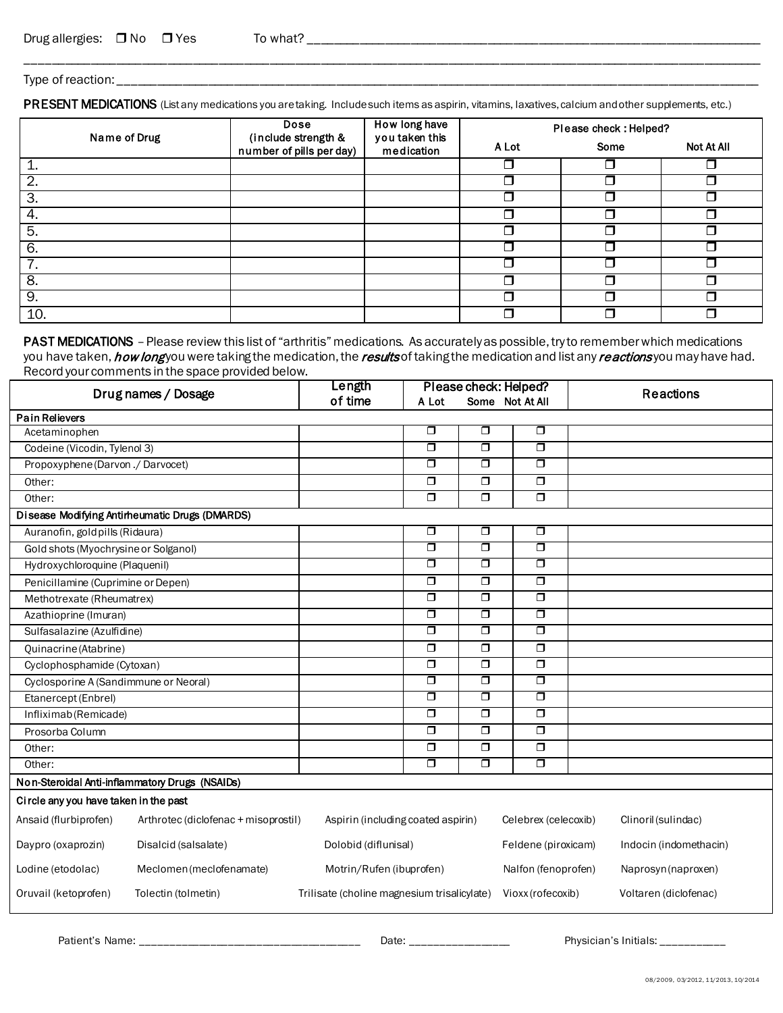Type of reaction: \_\_\_

PRESENT MEDICATIONS (List any medications you are taking. Include such items as aspirin, vitamins, laxatives, calcium and other supplements, etc.)

\_\_\_\_\_\_\_\_\_\_\_\_\_\_\_\_\_\_\_\_\_\_\_\_\_\_\_\_\_\_\_\_\_\_\_\_\_\_\_\_\_\_\_\_\_\_\_\_\_\_\_\_\_\_\_\_\_\_\_\_\_\_\_\_\_\_\_\_\_\_\_\_\_\_\_\_\_\_\_\_\_\_\_\_\_\_\_\_\_\_\_\_\_\_\_\_\_\_\_\_\_\_\_\_\_\_\_\_\_\_\_\_\_\_\_

| Name of Drug | Dose                                            | How long have<br>you taken this | Please check: Helped? |      |            |  |
|--------------|-------------------------------------------------|---------------------------------|-----------------------|------|------------|--|
|              | (include strength &<br>number of pills per day) | medication                      | A Lot                 | Some | Not At All |  |
| 1.           |                                                 |                                 |                       |      |            |  |
| 2.           |                                                 |                                 |                       |      |            |  |
| 3.           |                                                 |                                 |                       |      |            |  |
| 4.           |                                                 |                                 |                       |      | ┓          |  |
| 5.           |                                                 |                                 |                       |      | ┑          |  |
| 6.           |                                                 |                                 |                       |      |            |  |
| 7.           |                                                 |                                 |                       |      |            |  |
| 8.           |                                                 |                                 |                       |      |            |  |
| 9.           |                                                 |                                 |                       |      |            |  |
| 10.          |                                                 |                                 |                       |      | ⊓          |  |

PAST MEDICATIONS - Please review this list of "arthritis" medications. As accurately as possible, try to remember which medications you have taken, *how long* you were taking the medication, the results of taking the medication and list any reactions you may have had. Record your comments in the space provided below.

| Drug names / Dosage                   |                                                | Length<br>of time                           | Please check: Helped?   |                         |                         | <b>Reactions</b>       |
|---------------------------------------|------------------------------------------------|---------------------------------------------|-------------------------|-------------------------|-------------------------|------------------------|
|                                       |                                                |                                             | A Lot                   |                         | Some Not At All         |                        |
| <b>Pain Relievers</b>                 |                                                |                                             |                         |                         |                         |                        |
| Acetaminophen                         |                                                |                                             | $\Box$                  | $\Box$                  | $\Box$                  |                        |
| Codeine (Vicodin, Tylenol 3)          |                                                |                                             | $\overline{\Box}$       | $\Box$                  | $\Box$                  |                        |
| Propoxyphene (Darvon ./ Darvocet)     |                                                |                                             | $\overline{\Box}$       | $\Box$                  | $\Box$                  |                        |
| Other:                                |                                                |                                             | $\overline{\square}$    | $\Box$                  | $\overline{\mathbf{u}}$ |                        |
| Other:                                |                                                |                                             | $\Box$                  | $\Box$                  | $\Box$                  |                        |
|                                       | Disease Modifying Antimeumatic Drugs (DMARDS)  |                                             |                         |                         |                         |                        |
| Auranofin, gold pills (Ridaura)       |                                                |                                             | $\Box$                  | $\Box$                  | $\Box$                  |                        |
| Gold shots (Myochrysine or Solganol)  |                                                |                                             | $\overline{\Box}$       | $\overline{\mathsf{d}}$ | $\overline{\Box}$       |                        |
| Hydroxychloroquine (Plaquenil)        |                                                |                                             | $\overline{\Box}$       | $\Box$                  | $\Box$                  |                        |
| Penicillamine (Cuprimine or Depen)    |                                                |                                             | $\Box$                  | $\Box$                  | $\Box$                  |                        |
| Methotrexate (Rheumatrex)             |                                                |                                             | $\Box$                  | $\Box$                  | $\Box$                  |                        |
| Azathioprine (Imuran)                 |                                                |                                             | $\Box$                  | $\Box$                  | $\Box$                  |                        |
| Sulfasalazine (Azulfidine)            |                                                |                                             | $\Box$                  | $\Box$                  | $\Box$                  |                        |
| Quinacrine (Atabrine)                 |                                                |                                             | $\Box$                  | $\Box$                  | $\Box$                  |                        |
| Cyclophosphamide (Cytoxan)            |                                                |                                             | $\Box$                  | $\Box$                  | $\Box$                  |                        |
| Cyclosporine A (Sandimmune or Neoral) |                                                |                                             | $\Box$                  | $\Box$                  | $\overline{\Box}$       |                        |
| Etanercept (Enbrel)                   |                                                |                                             | $\overline{\mathsf{d}}$ | $\Box$                  | $\Box$                  |                        |
| Infliximab (Remicade)                 |                                                |                                             | $\overline{\Box}$       | $\Box$                  | $\Box$                  |                        |
| Prosorba Column                       |                                                |                                             | $\Box$                  | $\Box$                  | $\Box$                  |                        |
| Other:                                |                                                |                                             | $\Box$                  | $\Box$                  | $\Box$                  |                        |
| Other:                                |                                                |                                             | $\overline{\Box}$       | $\Box$                  | $\Box$                  |                        |
|                                       | Non-Steroidal Anti-inflammatory Drugs (NSAIDs) |                                             |                         |                         |                         |                        |
| Circle any you have taken in the past |                                                |                                             |                         |                         |                         |                        |
| Ansaid (flurbiprofen)                 | Arthrotec (diclofenac + misoprostil)           | Aspirin (including coated aspirin)          |                         |                         | Celebrex (celecoxib)    | Clinoril (sulindac)    |
| Daypro (oxaprozin)                    | Disalcid (salsalate)                           | Dolobid (diflunisal)                        |                         |                         | Feldene (piroxicam)     | Indocin (indomethacin) |
| Lodine (etodolac)                     | Meclomen (meclofenamate)                       | Motrin/Rufen (ibuprofen)                    |                         |                         | Nalfon (fenoprofen)     | Naprosyn (naproxen)    |
| Oruvail (ketoprofen)                  | Tolectin (tolmetin)                            | Trilisate (choline magnesium trisalicylate) |                         |                         | Vioxx (rofecoxib)       | Voltaren (diclofenac)  |

Patient's Name: \_\_\_\_\_\_\_\_\_\_\_\_\_\_\_\_\_\_\_\_\_\_\_\_\_\_\_\_\_\_\_\_\_\_\_\_\_\_ Date: \_\_\_\_\_\_\_\_\_\_\_\_\_\_\_\_\_ Physician's Initials: \_\_\_\_\_\_\_\_\_\_\_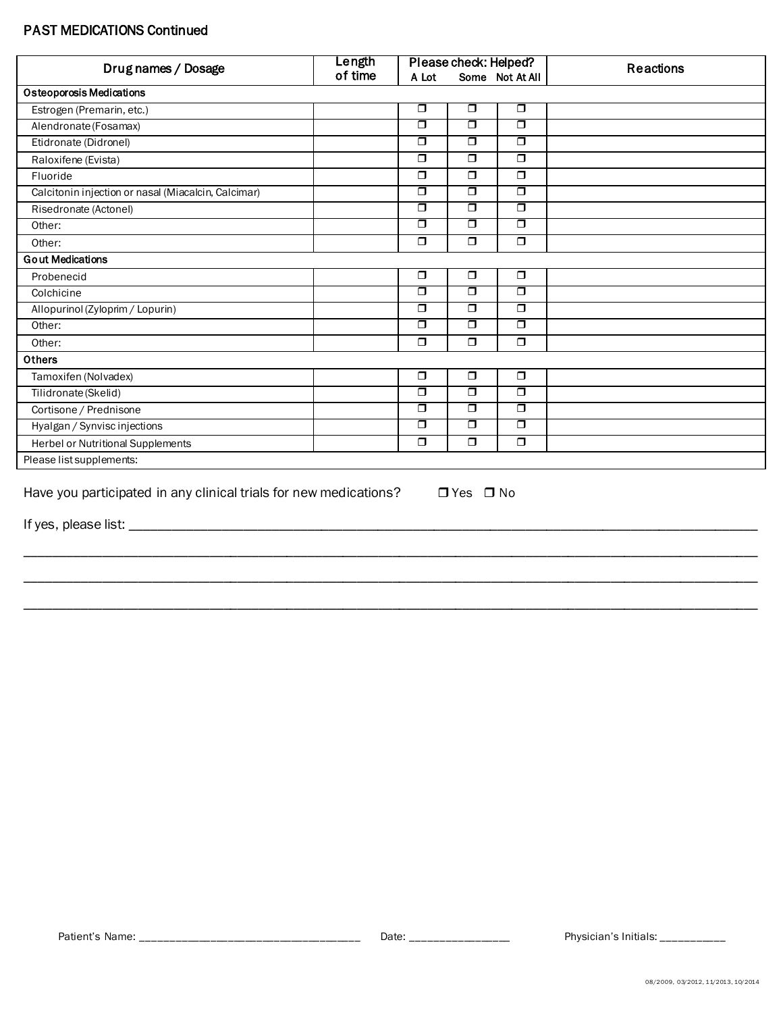## **PAST MEDICATIONS Continued**

| Drug names / Dosage                                 | Length  | Please check: Helped?   |                   |                   | <b>Reactions</b> |
|-----------------------------------------------------|---------|-------------------------|-------------------|-------------------|------------------|
|                                                     | of time | A Lot                   |                   | Some Not At All   |                  |
| <b>Osteoporosis Medications</b>                     |         |                         |                   |                   |                  |
| Estrogen (Premarin, etc.)                           |         | $\Box$                  | $\Box$            | $\Box$            |                  |
| Alendronate (Fosamax)                               |         | $\Box$                  | $\Box$            | П                 |                  |
| Etidronate (Didronel)                               |         | $\Box$                  | $\overline{\Box}$ | $\Box$            |                  |
| Raloxifene (Evista)                                 |         | $\Box$                  | $\Box$            | $\Box$            |                  |
| Fluoride                                            |         | $\Box$                  | $\Box$            | $\Box$            |                  |
| Calcitonin injection or nasal (Miacalcin, Calcimar) |         | $\Box$                  | $\overline{\Box}$ | □                 |                  |
| Risedronate (Actonel)                               |         | $\Box$                  | $\Box$            | $\Box$            |                  |
| Other:                                              |         | $\Box$                  | $\overline{\Box}$ | $\Box$            |                  |
| Other:                                              |         | $\Box$                  | $\Box$            | $\Box$            |                  |
| <b>Gout Medications</b>                             |         |                         |                   |                   |                  |
| Probenecid                                          |         | $\Box$                  | $\Box$            | $\Box$            |                  |
| Colchicine                                          |         | $\overline{\mathsf{d}}$ | $\overline{\Box}$ | $\overline{\Box}$ |                  |
| Allopurinol (Zyloprim / Lopurin)                    |         | $\Box$                  | $\overline{\Box}$ | П                 |                  |
| Other:                                              |         | $\Box$                  | $\overline{\Box}$ | $\Box$            |                  |
| Other:                                              |         | $\Box$                  | $\Box$            | $\Box$            |                  |
| Others                                              |         |                         |                   |                   |                  |
| Tamoxifen (Nolvadex)                                |         | $\Box$                  | $\Box$            | $\Box$            |                  |
| Tilidronate (Skelid)                                |         | $\Box$                  | $\overline{\Box}$ | $\Box$            |                  |
| Cortisone / Prednisone                              |         | $\Box$                  | $\Box$            | $\Box$            |                  |
| Hyalgan / Synvisc injections                        |         | $\Box$                  | $\overline{\Box}$ | $\Box$            |                  |
| Herbel or Nutritional Supplements                   |         | $\Box$                  | $\Box$            | $\Box$            |                  |
| Please list supplements:                            |         |                         |                   |                   |                  |
|                                                     |         |                         |                   |                   |                  |

Have you participated in any clinical trials for new medications?  $\Box$  Yes  $\Box$  No